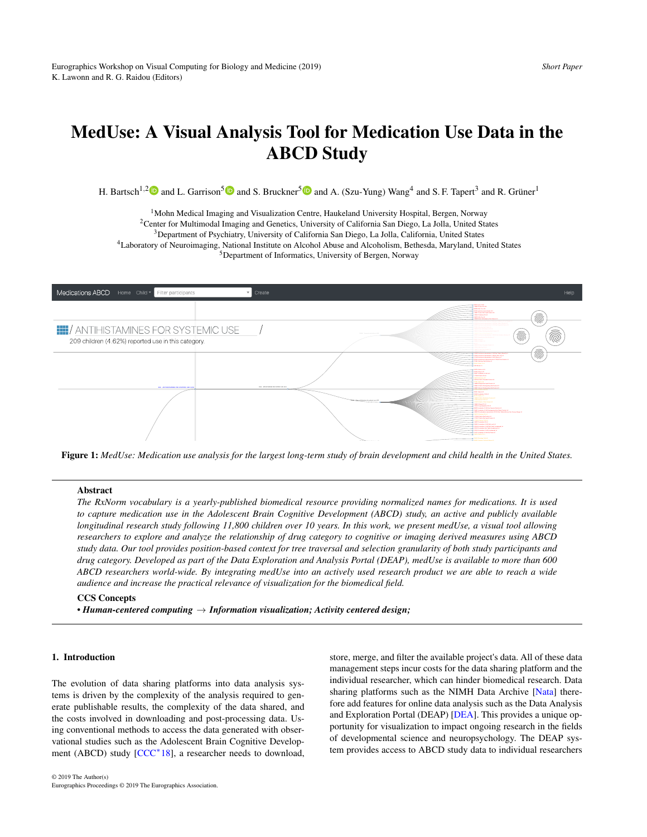# <span id="page-0-1"></span>MedUse: A Visual Analysis Tool for Medication Use Data in the ABCD Study

H. Bartsch<sup>1,[2](https://orcid.org/0000-0003-1486-4128)</sup><sup>(D</sup>) and L. Garrison<sup>[5](https://orcid.org/0000-0002-0885-8402)</sup><sup>(D</sup>) and S. Bruckner<sup>5</sup><sup>(D</sup>) and A. (Szu-Yung) Wang<sup>4</sup> and S. F. Tapert<sup>3</sup> and R. Grüner<sup>1</sup>

<sup>1</sup>Mohn Medical Imaging and Visualization Centre, Haukeland University Hospital, Bergen, Norway Center for Multimodal Imaging and Genetics, University of California San Diego, La Jolla, United States Department of Psychiatry, University of California San Diego, La Jolla, California, United States Laboratory of Neuroimaging, National Institute on Alcohol Abuse and Alcoholism, Bethesda, Maryland, United States Department of Informatics, University of Bergen, Norway



<span id="page-0-0"></span>Figure 1: MedUse: Medication use analysis for the largest long-term study of brain development and child health in the United States.

R03D OTHER SYSTEMIC DRUGS FOR OBSTRUCTIVE AIRWAY DISEASES #46

## Abstract

researchers to explore and analyze the relationship of drug category to cognitive or imaging derived measures using ABCD longitudinal research study following 11,800 children over 10 years. In this work, we present medUse, a visual tool allowing study data. Our tool provides position-based context for tree traversal and selection granularity of both study participants and to capture medication use in the Adolescent Brain Cognitive Development (ABCD) study, an active and publicly available rce proviaing normanzea names jor meaic The RxNorm vocabulary is a yearly-published biomedical resource providing normalized names for medications. It is used drug category. Developed as part of the Data Exploration and Analysis Portal (DEAP), medUse is available to more than 600 *ABCD researchers world-wide. By integrating medUse into an actively used research product we are able to reach a wide audience and increase the practical relevance of visualization for the biomedical field.*

# CCS Concepts

*• Human-centered computing* → *Information visualization; Activity centered design;*

## 1. Introduction

The evolution of data sharing platforms into data analysis systems is driven by the complexity of the analysis required to generate publishable results, the complexity of the data shared, and the costs involved in downloading and post-processing data. Using conventional methods to access the data generated with observational studies such as the Adolescent Brain Cognitive Develop-ment (ABCD) study [\[CCC](#page-4-0)<sup>\*</sup>18], a researcher needs to download,

store, merge, and filter the available project's data. All of these data management steps incur costs for the data sharing platform and the individual researcher, which can hinder biomedical research. Data sharing platforms such as the NIMH Data Archive [\[Nata\]](#page-4-1) therefore add features for online data analysis such as the Data Analysis and Exploration Portal (DEAP) [\[DEA\]](#page-4-2). This provides a unique opportunity for visualization to impact ongoing research in the fields of developmental science and neuropsychology. The DEAP system provides access to ABCD study data to individual researchers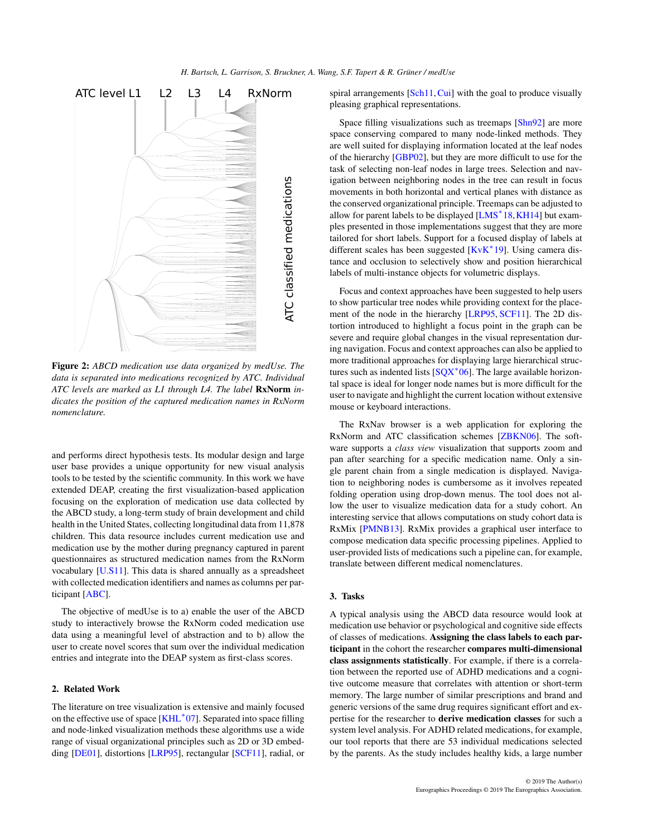<span id="page-1-1"></span>

<span id="page-1-0"></span>Figure 2: *ABCD medication use data organized by medUse. The data is separated into medications recognized by ATC. Individual ATC levels are marked as L1 through L4. The label* RxNorm *indicates the position of the captured medication names in RxNorm nomenclature.*

and performs direct hypothesis tests. Its modular design and large user base provides a unique opportunity for new visual analysis tools to be tested by the scientific community. In this work we have extended DEAP, creating the first visualization-based application focusing on the exploration of medication use data collected by the ABCD study, a long-term study of brain development and child health in the United States, collecting longitudinal data from 11,878 children. This data resource includes current medication use and medication use by the mother during pregnancy captured in parent questionnaires as structured medication names from the RxNorm vocabulary [\[U.S11\]](#page-4-3). This data is shared annually as a spreadsheet with collected medication identifiers and names as columns per participant [\[ABC\]](#page-4-4).

The objective of medUse is to a) enable the user of the ABCD study to interactively browse the RxNorm coded medication use data using a meaningful level of abstraction and to b) allow the user to create novel scores that sum over the individual medication entries and integrate into the DEAP system as first-class scores.

## 2. Related Work

The literature on tree visualization is extensive and mainly focused on the effective use of space [\[KHL](#page-4-5)<sup>∗</sup> 07]. Separated into space filling and node-linked visualization methods these algorithms use a wide range of visual organizational principles such as 2D or 3D embedding [\[DE01\]](#page-4-6), distortions [\[LRP95\]](#page-4-7), rectangular [\[SCF11\]](#page-4-8), radial, or

spiral arrangements [\[Sch11,](#page-4-9) [Cui\]](#page-4-10) with the goal to produce visually pleasing graphical representations.

Space filling visualizations such as treemaps [\[Shn92\]](#page-4-11) are more space conserving compared to many node-linked methods. They are well suited for displaying information located at the leaf nodes of the hierarchy [\[GBP02\]](#page-4-12), but they are more difficult to use for the task of selecting non-leaf nodes in large trees. Selection and navigation between neighboring nodes in the tree can result in focus movements in both horizontal and vertical planes with distance as the conserved organizational principle. Treemaps can be adjusted to allow for parent labels to be displayed [\[LMS](#page-4-13)<sup>\*</sup>18, KH14] but examples presented in those implementations suggest that they are more tailored for short labels. Support for a focused display of labels at different scales has been suggested [\[KvK](#page-4-15)<sup>∗</sup> 19]. Using camera distance and occlusion to selectively show and position hierarchical labels of multi-instance objects for volumetric displays.

Focus and context approaches have been suggested to help users to show particular tree nodes while providing context for the placement of the node in the hierarchy [\[LRP95,](#page-4-7) [SCF11\]](#page-4-8). The 2D distortion introduced to highlight a focus point in the graph can be severe and require global changes in the visual representation during navigation. Focus and context approaches can also be applied to more traditional approaches for displaying large hierarchical structures such as indented lists  $[SQX^*06]$  $[SQX^*06]$ . The large available horizontal space is ideal for longer node names but is more difficult for the user to navigate and highlight the current location without extensive mouse or keyboard interactions.

The RxNav browser is a web application for exploring the RxNorm and ATC classification schemes [\[ZBKN06\]](#page-4-17). The software supports a *class view* visualization that supports zoom and pan after searching for a specific medication name. Only a single parent chain from a single medication is displayed. Navigation to neighboring nodes is cumbersome as it involves repeated folding operation using drop-down menus. The tool does not allow the user to visualize medication data for a study cohort. An interesting service that allows computations on study cohort data is RxMix [\[PMNB13\]](#page-4-18). RxMix provides a graphical user interface to compose medication data specific processing pipelines. Applied to user-provided lists of medications such a pipeline can, for example, translate between different medical nomenclatures.

## 3. Tasks

A typical analysis using the ABCD data resource would look at medication use behavior or psychological and cognitive side effects of classes of medications. Assigning the class labels to each participant in the cohort the researcher compares multi-dimensional class assignments statistically. For example, if there is a correlation between the reported use of ADHD medications and a cognitive outcome measure that correlates with attention or short-term memory. The large number of similar prescriptions and brand and generic versions of the same drug requires significant effort and expertise for the researcher to derive medication classes for such a system level analysis. For ADHD related medications, for example, our tool reports that there are 53 individual medications selected by the parents. As the study includes healthy kids, a large number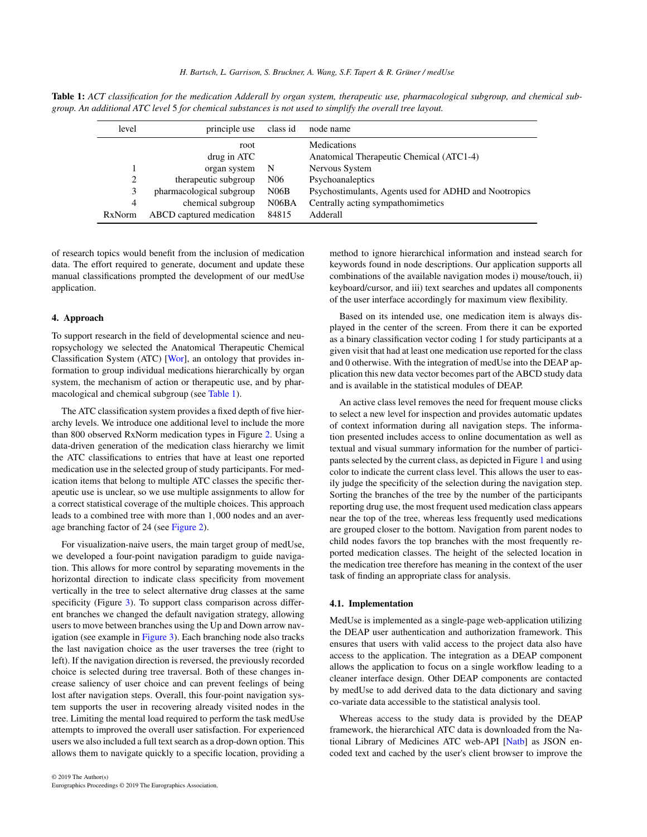<span id="page-2-1"></span>Table 1: *ACT classification for the medication Adderall by organ system, therapeutic use, pharmacological subgroup, and chemical subgroup. An additional ATC level* 5 *for chemical substances is not used to simplify the overall tree layout.*

<span id="page-2-0"></span>

| level          | principle use            | class id        | node name                                                      |
|----------------|--------------------------|-----------------|----------------------------------------------------------------|
|                | root<br>drug in ATC      |                 | <b>Medications</b><br>Anatomical Therapeutic Chemical (ATC1-4) |
|                | organ system             | -N              | Nervous System                                                 |
| 2              | therapeutic subgroup     | N <sub>06</sub> | Psychoanaleptics                                               |
| 3              | pharmacological subgroup | N06B            | Psychostimulants, Agents used for ADHD and Nootropics          |
| $\overline{4}$ | chemical subgroup        | N06BA           | Centrally acting sympathomimetics                              |
| <b>RxNorm</b>  | ABCD captured medication | 84815           | Adderall                                                       |

of research topics would benefit from the inclusion of medication data. The effort required to generate, document and update these manual classifications prompted the development of our medUse application.

## 4. Approach

To support research in the field of developmental science and neuropsychology we selected the Anatomical Therapeutic Chemical Classification System (ATC) [\[Wor\]](#page-4-19), an ontology that provides information to group individual medications hierarchically by organ system, the mechanism of action or therapeutic use, and by pharmacological and chemical subgroup (see [Table 1\)](#page-2-0).

The ATC classification system provides a fixed depth of five hierarchy levels. We introduce one additional level to include the more than 800 observed RxNorm medication types in Figure [2.](#page-1-0) Using a data-driven generation of the medication class hierarchy we limit the ATC classifications to entries that have at least one reported medication use in the selected group of study participants. For medication items that belong to multiple ATC classes the specific therapeutic use is unclear, so we use multiple assignments to allow for a correct statistical coverage of the multiple choices. This approach leads to a combined tree with more than 1,000 nodes and an average branching factor of 24 (see [Figure 2\)](#page-1-0).

For visualization-naive users, the main target group of medUse, we developed a four-point navigation paradigm to guide navigation. This allows for more control by separating movements in the horizontal direction to indicate class specificity from movement vertically in the tree to select alternative drug classes at the same specificity (Figure [3\)](#page-3-0). To support class comparison across different branches we changed the default navigation strategy, allowing users to move between branches using the Up and Down arrow navigation (see example in [Figure 3\)](#page-3-0). Each branching node also tracks the last navigation choice as the user traverses the tree (right to left). If the navigation direction is reversed, the previously recorded choice is selected during tree traversal. Both of these changes increase saliency of user choice and can prevent feelings of being lost after navigation steps. Overall, this four-point navigation system supports the user in recovering already visited nodes in the tree. Limiting the mental load required to perform the task medUse attempts to improved the overall user satisfaction. For experienced users we also included a full text search as a drop-down option. This allows them to navigate quickly to a specific location, providing a

method to ignore hierarchical information and instead search for keywords found in node descriptions. Our application supports all combinations of the available navigation modes i) mouse/touch, ii) keyboard/cursor, and iii) text searches and updates all components of the user interface accordingly for maximum view flexibility.

Based on its intended use, one medication item is always displayed in the center of the screen. From there it can be exported as a binary classification vector coding 1 for study participants at a given visit that had at least one medication use reported for the class and 0 otherwise. With the integration of medUse into the DEAP application this new data vector becomes part of the ABCD study data and is available in the statistical modules of DEAP.

An active class level removes the need for frequent mouse clicks to select a new level for inspection and provides automatic updates of context information during all navigation steps. The information presented includes access to online documentation as well as textual and visual summary information for the number of participants selected by the current class, as depicted in Figure [1](#page-0-0) and using color to indicate the current class level. This allows the user to easily judge the specificity of the selection during the navigation step. Sorting the branches of the tree by the number of the participants reporting drug use, the most frequent used medication class appears near the top of the tree, whereas less frequently used medications are grouped closer to the bottom. Navigation from parent nodes to child nodes favors the top branches with the most frequently reported medication classes. The height of the selected location in the medication tree therefore has meaning in the context of the user task of finding an appropriate class for analysis.

### 4.1. Implementation

MedUse is implemented as a single-page web-application utilizing the DEAP user authentication and authorization framework. This ensures that users with valid access to the project data also have access to the application. The integration as a DEAP component allows the application to focus on a single workflow leading to a cleaner interface design. Other DEAP components are contacted by medUse to add derived data to the data dictionary and saving co-variate data accessible to the statistical analysis tool.

Whereas access to the study data is provided by the DEAP framework, the hierarchical ATC data is downloaded from the National Library of Medicines ATC web-API [\[Natb\]](#page-4-20) as JSON encoded text and cached by the user's client browser to improve the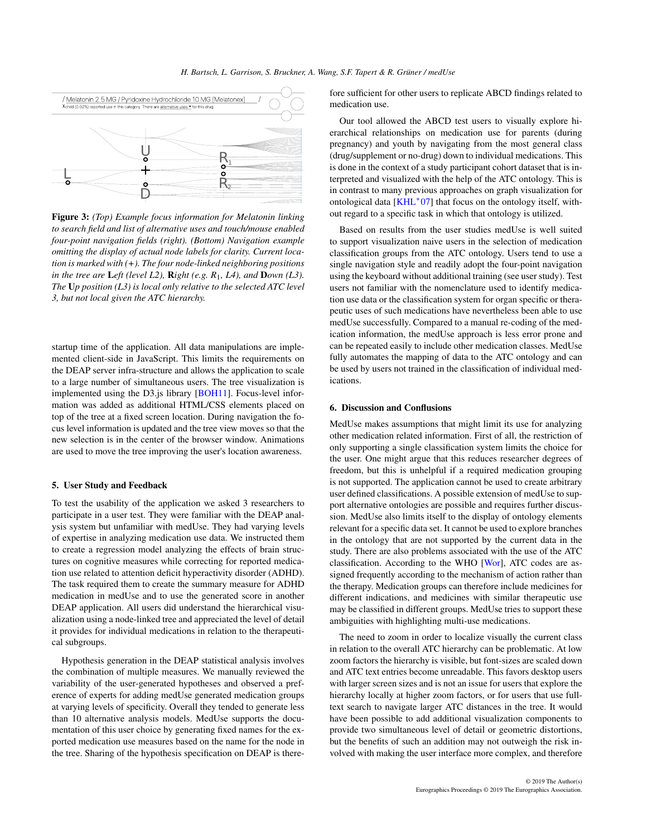<span id="page-3-1"></span>

<span id="page-3-0"></span>Figure 3: *(Top) Example focus information for Melatonin linking to search field and list of alternative uses and touch/mouse enabled four-point navigation fields (right). (Bottom) Navigation example omitting the display of actual node labels for clarity. Current location is marked with (+). The four node-linked neighboring positions in the tree are* L*eft (level L2),* R*ight (e.g. R*1*, L4), and* D*own (L3). The* U*p position (L3) is local only relative to the selected ATC level 3, but not local given the ATC hierarchy.*

startup time of the application. All data manipulations are implemented client-side in JavaScript. This limits the requirements on the DEAP server infra-structure and allows the application to scale to a large number of simultaneous users. The tree visualization is implemented using the D3.js library [\[BOH11\]](#page-4-21). Focus-level information was added as additional HTML/CSS elements placed on top of the tree at a fixed screen location. During navigation the focus level information is updated and the tree view moves so that the new selection is in the center of the browser window. Animations are used to move the tree improving the user's location awareness.

### 5. User Study and Feedback

To test the usability of the application we asked 3 researchers to participate in a user test. They were familiar with the DEAP analysis system but unfamiliar with medUse. They had varying levels of expertise in analyzing medication use data. We instructed them to create a regression model analyzing the effects of brain structures on cognitive measures while correcting for reported medication use related to attention deficit hyperactivity disorder (ADHD). The task required them to create the summary measure for ADHD medication in medUse and to use the generated score in another DEAP application. All users did understand the hierarchical visualization using a node-linked tree and appreciated the level of detail it provides for individual medications in relation to the therapeutical subgroups.

Hypothesis generation in the DEAP statistical analysis involves the combination of multiple measures. We manually reviewed the variability of the user-generated hypotheses and observed a preference of experts for adding medUse generated medication groups at varying levels of specificity. Overall they tended to generate less than 10 alternative analysis models. MedUse supports the documentation of this user choice by generating fixed names for the exported medication use measures based on the name for the node in the tree. Sharing of the hypothesis specification on DEAP is there-

fore sufficient for other users to replicate ABCD findings related to medication use.

Our tool allowed the ABCD test users to visually explore hierarchical relationships on medication use for parents (during pregnancy) and youth by navigating from the most general class (drug/supplement or no-drug) down to individual medications. This is done in the context of a study participant cohort dataset that is interpreted and visualized with the help of the ATC ontology. This is in contrast to many previous approaches on graph visualization for ontological data [\[KHL](#page-4-5)<sup>∗</sup> 07] that focus on the ontology itself, without regard to a specific task in which that ontology is utilized.

Based on results from the user studies medUse is well suited to support visualization naive users in the selection of medication classification groups from the ATC ontology. Users tend to use a single navigation style and readily adopt the four-point navigation using the keyboard without additional training (see user study). Test users not familiar with the nomenclature used to identify medication use data or the classification system for organ specific or therapeutic uses of such medications have nevertheless been able to use medUse successfully. Compared to a manual re-coding of the medication information, the medUse approach is less error prone and can be repeated easily to include other medication classes. MedUse fully automates the mapping of data to the ATC ontology and can be used by users not trained in the classification of individual medications.

# 6. Discussion and Conflusions

MedUse makes assumptions that might limit its use for analyzing other medication related information. First of all, the restriction of only supporting a single classification system limits the choice for the user. One might argue that this reduces researcher degrees of freedom, but this is unhelpful if a required medication grouping is not supported. The application cannot be used to create arbitrary user defined classifications. A possible extension of medUse to support alternative ontologies are possible and requires further discussion. MedUse also limits itself to the display of ontology elements relevant for a specific data set. It cannot be used to explore branches in the ontology that are not supported by the current data in the study. There are also problems associated with the use of the ATC classification. According to the WHO [\[Wor\]](#page-4-19), ATC codes are assigned frequently according to the mechanism of action rather than the therapy. Medication groups can therefore include medicines for different indications, and medicines with similar therapeutic use may be classified in different groups. MedUse tries to support these ambiguities with highlighting multi-use medications.

The need to zoom in order to localize visually the current class in relation to the overall ATC hierarchy can be problematic. At low zoom factors the hierarchy is visible, but font-sizes are scaled down and ATC text entries become unreadable. This favors desktop users with larger screen sizes and is not an issue for users that explore the hierarchy locally at higher zoom factors, or for users that use fulltext search to navigate larger ATC distances in the tree. It would have been possible to add additional visualization components to provide two simultaneous level of detail or geometric distortions, but the benefits of such an addition may not outweigh the risk involved with making the user interface more complex, and therefore